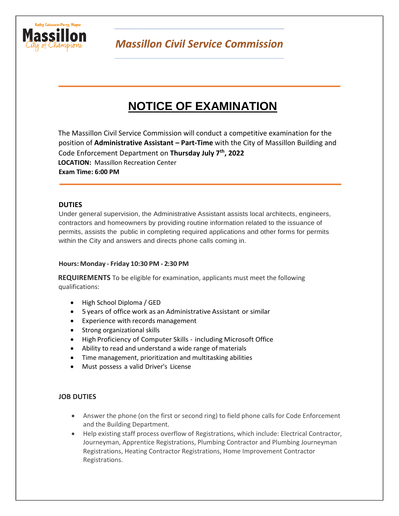

**Massillon Civil Service Commission** 

# **NOTICE OF EXAMINATION**

The Massillon Civil Service Commission will conduct a competitive examination for the position of **Administrative Assistant – Part-Time** with the City of Massillon Building and Code Enforcement Department on **Thursday July 7th, 2022 LOCATION:** Massillon Recreation Center **Exam Time: 6:00 PM**

# **DUTIES**

Under general supervision, the Administrative Assistant assists local architects, engineers, contractors and homeowners by providing routine information related to the issuance of permits, assists the public in completing required applications and other forms for permits within the City and answers and directs phone calls coming in.

# **Hours: Monday - Friday 10:30 PM - 2:30 PM**

**REQUIREMENTS** To be eligible for examination, applicants must meet the following qualifications:

- High School Diploma / GED
- 5 years of office work as an Administrative Assistant or similar
- Experience with records management
- Strong organizational skills
- High Proficiency of Computer Skills including Microsoft Office
- Ability to read and understand a wide range of materials
- Time management, prioritization and multitasking abilities
- Must possess a valid Driver's License

# **JOB DUTIES**

- Answer the phone (on the first or second ring) to field phone calls for Code Enforcement and the Building Department.
- Help existing staff process overflow of Registrations, which include: Electrical Contractor, Journeyman, Apprentice Registrations, Plumbing Contractor and Plumbing Journeyman Registrations, Heating Contractor Registrations, Home Improvement Contractor Registrations.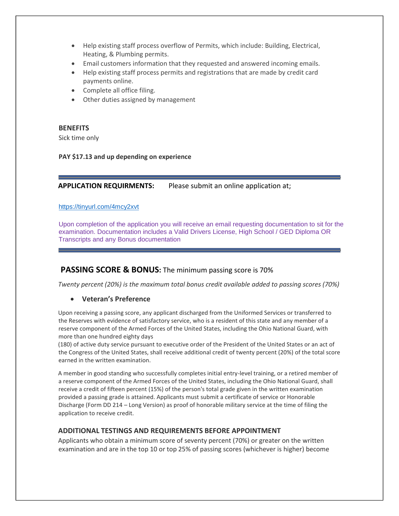- Help existing staff process overflow of Permits, which include: Building, Electrical, Heating, & Plumbing permits.
- Email customers information that they requested and answered incoming emails.
- Help existing staff process permits and registrations that are made by credit card payments online.
- Complete all office filing.
- Other duties assigned by management

#### **BENEFITS**

Sick time only

#### **PAY \$17.13 and up depending on experience**

### **APPLICATION REQUIRMENTS:** Please submit an online application at;

#### <https://tinyurl.com/4mcy2xvt>

Upon completion of the application you will receive an email requesting documentation to sit for the examination. Documentation includes a Valid Drivers License, High School / GED Diploma OR Transcripts and any Bonus documentation

# **PASSING SCORE & BONUS:** The minimum passing score is 70%

*Twenty percent (20%) is the maximum total bonus credit available added to passing scores (70%)* 

#### • **Veteran's Preference**

Upon receiving a passing score, any applicant discharged from the Uniformed Services or transferred to the Reserves with evidence of satisfactory service, who is a resident of this state and any member of a reserve component of the Armed Forces of the United States, including the Ohio National Guard, with more than one hundred eighty days

(180) of active duty service pursuant to executive order of the President of the United States or an act of the Congress of the United States, shall receive additional credit of twenty percent (20%) of the total score earned in the written examination.

A member in good standing who successfully completes initial entry-level training, or a retired member of a reserve component of the Armed Forces of the United States, including the Ohio National Guard, shall receive a credit of fifteen percent (15%) of the person's total grade given in the written examination provided a passing grade is attained. Applicants must submit a certificate of service or Honorable Discharge (Form DD 214 – Long Version) as proof of honorable military service at the time of filing the application to receive credit.

# **ADDITIONAL TESTINGS AND REQUIREMENTS BEFORE APPOINTMENT**

Applicants who obtain a minimum score of seventy percent (70%) or greater on the written examination and are in the top 10 or top 25% of passing scores (whichever is higher) become